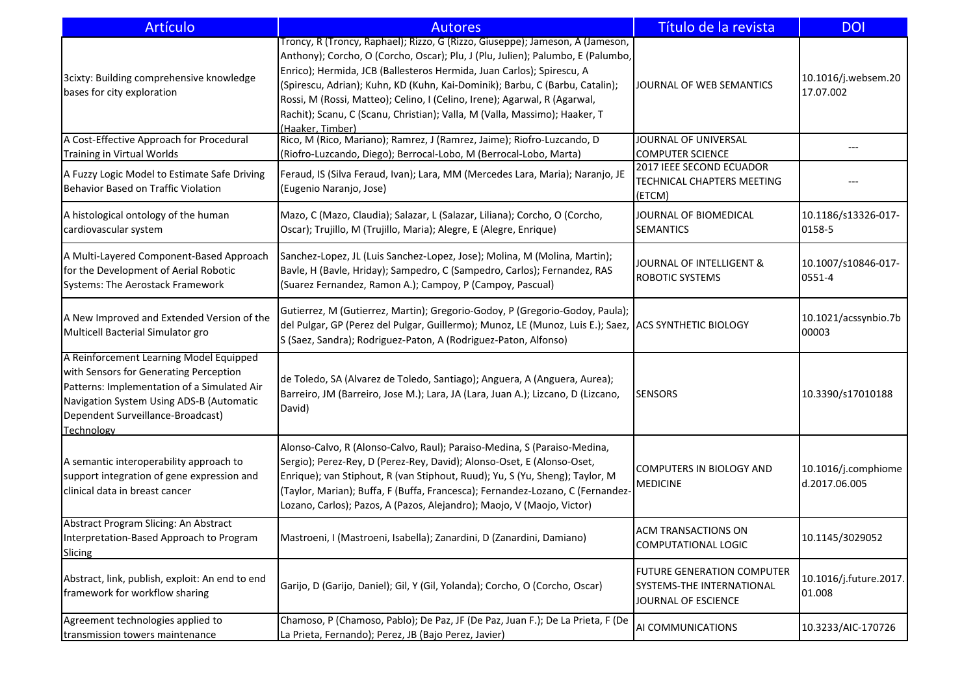| <b>Artículo</b>                                                                                                                                                                                                                 | <b>Autores</b>                                                                                                                                                                                                                                                                                                                                                                                                                                                                                           | Título de la revista                                                                        | <b>DOI</b>                           |
|---------------------------------------------------------------------------------------------------------------------------------------------------------------------------------------------------------------------------------|----------------------------------------------------------------------------------------------------------------------------------------------------------------------------------------------------------------------------------------------------------------------------------------------------------------------------------------------------------------------------------------------------------------------------------------------------------------------------------------------------------|---------------------------------------------------------------------------------------------|--------------------------------------|
| 3cixty: Building comprehensive knowledge<br>bases for city exploration                                                                                                                                                          | Troncy, R (Troncy, Raphael); Rizzo, G (Rizzo, Giuseppe); Jameson, A (Jameson,<br>Anthony); Corcho, O (Corcho, Oscar); Plu, J (Plu, Julien); Palumbo, E (Palumbo,<br>Enrico); Hermida, JCB (Ballesteros Hermida, Juan Carlos); Spirescu, A<br>(Spirescu, Adrian); Kuhn, KD (Kuhn, Kai-Dominik); Barbu, C (Barbu, Catalin);<br>Rossi, M (Rossi, Matteo); Celino, I (Celino, Irene); Agarwal, R (Agarwal,<br>Rachit); Scanu, C (Scanu, Christian); Valla, M (Valla, Massimo); Haaker, T<br>(Haaker, Timber) | JOURNAL OF WEB SEMANTICS                                                                    | 10.1016/j.websem.20<br>17.07.002     |
| A Cost-Effective Approach for Procedural                                                                                                                                                                                        | Rico, M (Rico, Mariano); Ramrez, J (Ramrez, Jaime); Riofro-Luzcando, D                                                                                                                                                                                                                                                                                                                                                                                                                                   | JOURNAL OF UNIVERSAL                                                                        |                                      |
| <b>Training in Virtual Worlds</b><br>A Fuzzy Logic Model to Estimate Safe Driving<br>Behavior Based on Traffic Violation                                                                                                        | (Riofro-Luzcando, Diego); Berrocal-Lobo, M (Berrocal-Lobo, Marta)<br>Feraud, IS (Silva Feraud, Ivan); Lara, MM (Mercedes Lara, Maria); Naranjo, JE<br>(Eugenio Naranjo, Jose)                                                                                                                                                                                                                                                                                                                            | <b>COMPUTER SCIENCE</b><br>2017 IEEE SECOND ECUADOR<br>TECHNICAL CHAPTERS MEETING<br>(ETCM) |                                      |
| A histological ontology of the human<br>cardiovascular system                                                                                                                                                                   | Mazo, C (Mazo, Claudia); Salazar, L (Salazar, Liliana); Corcho, O (Corcho,<br>Oscar); Trujillo, M (Trujillo, Maria); Alegre, E (Alegre, Enrique)                                                                                                                                                                                                                                                                                                                                                         | JOURNAL OF BIOMEDICAL<br><b>SEMANTICS</b>                                                   | 10.1186/s13326-017-<br>0158-5        |
| A Multi-Layered Component-Based Approach<br>for the Development of Aerial Robotic<br>Systems: The Aerostack Framework                                                                                                           | Sanchez-Lopez, JL (Luis Sanchez-Lopez, Jose); Molina, M (Molina, Martin);<br>Bavle, H (Bavle, Hriday); Sampedro, C (Sampedro, Carlos); Fernandez, RAS<br>(Suarez Fernandez, Ramon A.); Campoy, P (Campoy, Pascual)                                                                                                                                                                                                                                                                                       | JOURNAL OF INTELLIGENT &<br><b>ROBOTIC SYSTEMS</b>                                          | 10.1007/s10846-017-<br>0551-4        |
| A New Improved and Extended Version of the<br>Multicell Bacterial Simulator gro                                                                                                                                                 | Gutierrez, M (Gutierrez, Martin); Gregorio-Godoy, P (Gregorio-Godoy, Paula);<br>del Pulgar, GP (Perez del Pulgar, Guillermo); Munoz, LE (Munoz, Luis E.); Saez, ACS SYNTHETIC BIOLOGY<br>S (Saez, Sandra); Rodriguez-Paton, A (Rodriguez-Paton, Alfonso)                                                                                                                                                                                                                                                 |                                                                                             | 10.1021/acssynbio.7b<br>00003        |
| A Reinforcement Learning Model Equipped<br>with Sensors for Generating Perception<br>Patterns: Implementation of a Simulated Air<br>Navigation System Using ADS-B (Automatic<br>Dependent Surveillance-Broadcast)<br>Technology | de Toledo, SA (Alvarez de Toledo, Santiago); Anguera, A (Anguera, Aurea);<br>Barreiro, JM (Barreiro, Jose M.); Lara, JA (Lara, Juan A.); Lizcano, D (Lizcano,<br>David)                                                                                                                                                                                                                                                                                                                                  | <b>SENSORS</b>                                                                              | 10.3390/s17010188                    |
| A semantic interoperability approach to<br>support integration of gene expression and<br>clinical data in breast cancer                                                                                                         | Alonso-Calvo, R (Alonso-Calvo, Raul); Paraiso-Medina, S (Paraiso-Medina,<br>Sergio); Perez-Rey, D (Perez-Rey, David); Alonso-Oset, E (Alonso-Oset,<br>Enrique); van Stiphout, R (van Stiphout, Ruud); Yu, S (Yu, Sheng); Taylor, M<br>(Taylor, Marian); Buffa, F (Buffa, Francesca); Fernandez-Lozano, C (Fernandez-<br>Lozano, Carlos); Pazos, A (Pazos, Alejandro); Maojo, V (Maojo, Victor)                                                                                                           | COMPUTERS IN BIOLOGY AND<br><b>MEDICINE</b>                                                 | 10.1016/j.comphiome<br>d.2017.06.005 |
| Abstract Program Slicing: An Abstract<br>Interpretation-Based Approach to Program<br>Slicing                                                                                                                                    | Mastroeni, I (Mastroeni, Isabella); Zanardini, D (Zanardini, Damiano)                                                                                                                                                                                                                                                                                                                                                                                                                                    | ACM TRANSACTIONS ON<br>COMPUTATIONAL LOGIC                                                  | 10.1145/3029052                      |
| Abstract, link, publish, exploit: An end to end<br>framework for workflow sharing                                                                                                                                               | Garijo, D (Garijo, Daniel); Gil, Y (Gil, Yolanda); Corcho, O (Corcho, Oscar)                                                                                                                                                                                                                                                                                                                                                                                                                             | FUTURE GENERATION COMPUTER<br>SYSTEMS-THE INTERNATIONAL<br>JOURNAL OF ESCIENCE              | 10.1016/j.future.2017.<br>01.008     |
| Agreement technologies applied to<br>transmission towers maintenance                                                                                                                                                            | Chamoso, P (Chamoso, Pablo); De Paz, JF (De Paz, Juan F.); De La Prieta, F (De<br>La Prieta, Fernando); Perez, JB (Bajo Perez, Javier)                                                                                                                                                                                                                                                                                                                                                                   | AI COMMUNICATIONS                                                                           | 10.3233/AIC-170726                   |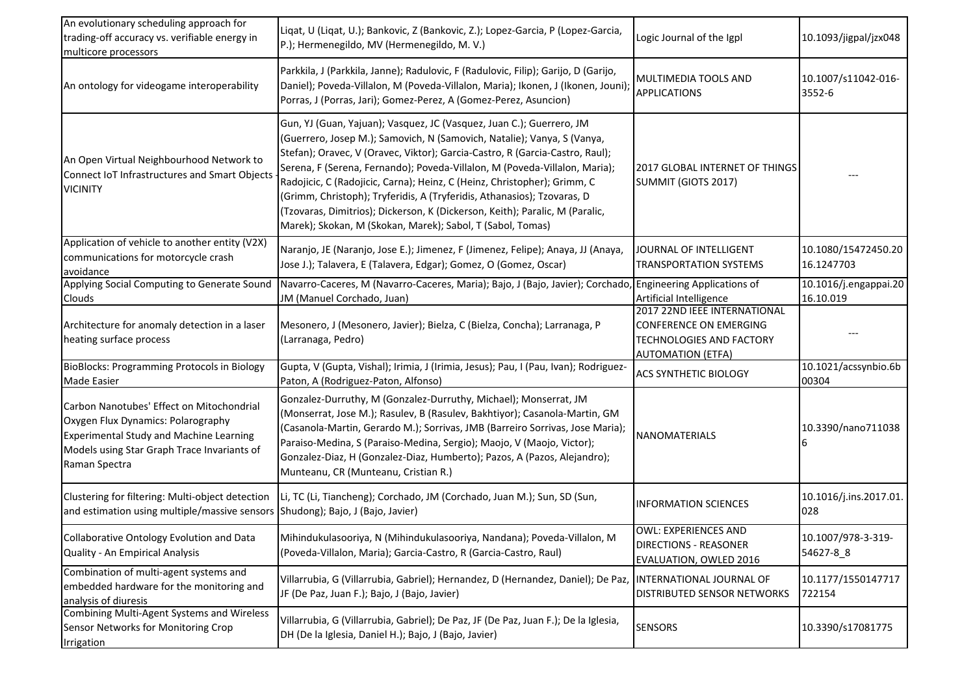| An evolutionary scheduling approach for<br>trading-off accuracy vs. verifiable energy in<br>multicore processors                                                                                  | Liqat, U (Liqat, U.); Bankovic, Z (Bankovic, Z.); Lopez-Garcia, P (Lopez-Garcia,<br>P.); Hermenegildo, MV (Hermenegildo, M. V.)                                                                                                                                                                                                                                                                                                                                                                                                                                                                                    | Logic Journal of the Igpl                                                                                             | 10.1093/jigpal/jzx048              |
|---------------------------------------------------------------------------------------------------------------------------------------------------------------------------------------------------|--------------------------------------------------------------------------------------------------------------------------------------------------------------------------------------------------------------------------------------------------------------------------------------------------------------------------------------------------------------------------------------------------------------------------------------------------------------------------------------------------------------------------------------------------------------------------------------------------------------------|-----------------------------------------------------------------------------------------------------------------------|------------------------------------|
| An ontology for videogame interoperability                                                                                                                                                        | Parkkila, J (Parkkila, Janne); Radulovic, F (Radulovic, Filip); Garijo, D (Garijo,<br>Daniel); Poveda-Villalon, M (Poveda-Villalon, Maria); Ikonen, J (Ikonen, Jouni);<br>Porras, J (Porras, Jari); Gomez-Perez, A (Gomez-Perez, Asuncion)                                                                                                                                                                                                                                                                                                                                                                         | MULTIMEDIA TOOLS AND<br><b>APPLICATIONS</b>                                                                           | 10.1007/s11042-016-<br>3552-6      |
| An Open Virtual Neighbourhood Network to<br>Connect IoT Infrastructures and Smart Objects<br><b>VICINITY</b>                                                                                      | Gun, YJ (Guan, Yajuan); Vasquez, JC (Vasquez, Juan C.); Guerrero, JM<br>(Guerrero, Josep M.); Samovich, N (Samovich, Natalie); Vanya, S (Vanya,<br>Stefan); Oravec, V (Oravec, Viktor); Garcia-Castro, R (Garcia-Castro, Raul);<br>Serena, F (Serena, Fernando); Poveda-Villalon, M (Poveda-Villalon, Maria);<br>Radojicic, C (Radojicic, Carna); Heinz, C (Heinz, Christopher); Grimm, C<br>(Grimm, Christoph); Tryferidis, A (Tryferidis, Athanasios); Tzovaras, D<br>(Tzovaras, Dimitrios); Dickerson, K (Dickerson, Keith); Paralic, M (Paralic,<br>Marek); Skokan, M (Skokan, Marek); Sabol, T (Sabol, Tomas) | <b>2017 GLOBAL INTERNET OF THINGS</b><br>SUMMIT (GIOTS 2017)                                                          |                                    |
| Application of vehicle to another entity (V2X)<br>communications for motorcycle crash<br>avoidance                                                                                                | Naranjo, JE (Naranjo, Jose E.); Jimenez, F (Jimenez, Felipe); Anaya, JJ (Anaya,<br>Jose J.); Talavera, E (Talavera, Edgar); Gomez, O (Gomez, Oscar)                                                                                                                                                                                                                                                                                                                                                                                                                                                                | JOURNAL OF INTELLIGENT<br><b>TRANSPORTATION SYSTEMS</b>                                                               | 10.1080/15472450.20<br>16.1247703  |
| Applying Social Computing to Generate Sound<br>Clouds                                                                                                                                             | Navarro-Caceres, M (Navarro-Caceres, Maria); Bajo, J (Bajo, Javier); Corchado, Engineering Applications of<br>JM (Manuel Corchado, Juan)                                                                                                                                                                                                                                                                                                                                                                                                                                                                           | Artificial Intelligence                                                                                               | 10.1016/j.engappai.20<br>16.10.019 |
| Architecture for anomaly detection in a laser<br>heating surface process                                                                                                                          | Mesonero, J (Mesonero, Javier); Bielza, C (Bielza, Concha); Larranaga, P<br>(Larranaga, Pedro)                                                                                                                                                                                                                                                                                                                                                                                                                                                                                                                     | 2017 22ND IEEE INTERNATIONAL<br><b>CONFERENCE ON EMERGING</b><br>TECHNOLOGIES AND FACTORY<br><b>AUTOMATION (ETFA)</b> |                                    |
| BioBlocks: Programming Protocols in Biology<br><b>Made Easier</b>                                                                                                                                 | Gupta, V (Gupta, Vishal); Irimia, J (Irimia, Jesus); Pau, I (Pau, Ivan); Rodriguez-<br>Paton, A (Rodriguez-Paton, Alfonso)                                                                                                                                                                                                                                                                                                                                                                                                                                                                                         | <b>ACS SYNTHETIC BIOLOGY</b>                                                                                          | 10.1021/acssynbio.6b<br>00304      |
| Carbon Nanotubes' Effect on Mitochondrial<br>Oxygen Flux Dynamics: Polarography<br><b>Experimental Study and Machine Learning</b><br>Models using Star Graph Trace Invariants of<br>Raman Spectra | Gonzalez-Durruthy, M (Gonzalez-Durruthy, Michael); Monserrat, JM<br>(Monserrat, Jose M.); Rasulev, B (Rasulev, Bakhtiyor); Casanola-Martin, GM<br>(Casanola-Martin, Gerardo M.); Sorrivas, JMB (Barreiro Sorrivas, Jose Maria);<br>Paraiso-Medina, S (Paraiso-Medina, Sergio); Maojo, V (Maojo, Victor);<br>Gonzalez-Diaz, H (Gonzalez-Diaz, Humberto); Pazos, A (Pazos, Alejandro);<br>Munteanu, CR (Munteanu, Cristian R.)                                                                                                                                                                                       | <b>NANOMATERIALS</b>                                                                                                  | 10.3390/nano711038                 |
| Clustering for filtering: Multi-object detection<br>and estimation using multiple/massive sensors                                                                                                 | Li, TC (Li, Tiancheng); Corchado, JM (Corchado, Juan M.); Sun, SD (Sun,<br>Shudong); Bajo, J (Bajo, Javier)                                                                                                                                                                                                                                                                                                                                                                                                                                                                                                        | <b>INFORMATION SCIENCES</b>                                                                                           | 10.1016/j.ins.2017.01<br>028       |
| Collaborative Ontology Evolution and Data<br>Quality - An Empirical Analysis                                                                                                                      | Mihindukulasooriya, N (Mihindukulasooriya, Nandana); Poveda-Villalon, M<br>(Poveda-Villalon, Maria); Garcia-Castro, R (Garcia-Castro, Raul)                                                                                                                                                                                                                                                                                                                                                                                                                                                                        | OWL: EXPERIENCES AND<br><b>DIRECTIONS - REASONER</b><br>EVALUATION, OWLED 2016                                        | 10.1007/978-3-319-<br>54627-8 8    |
| Combination of multi-agent systems and<br>embedded hardware for the monitoring and<br>analysis of diuresis                                                                                        | Villarrubia, G (Villarrubia, Gabriel); Hernandez, D (Hernandez, Daniel); De Paz,<br>JF (De Paz, Juan F.); Bajo, J (Bajo, Javier)                                                                                                                                                                                                                                                                                                                                                                                                                                                                                   | INTERNATIONAL JOURNAL OF<br>DISTRIBUTED SENSOR NETWORKS                                                               | 10.1177/1550147717<br>722154       |
| <b>Combining Multi-Agent Systems and Wireless</b><br>Sensor Networks for Monitoring Crop<br>Irrigation                                                                                            | Villarrubia, G (Villarrubia, Gabriel); De Paz, JF (De Paz, Juan F.); De la Iglesia,<br>DH (De la Iglesia, Daniel H.); Bajo, J (Bajo, Javier)                                                                                                                                                                                                                                                                                                                                                                                                                                                                       | <b>SENSORS</b>                                                                                                        | 10.3390/s17081775                  |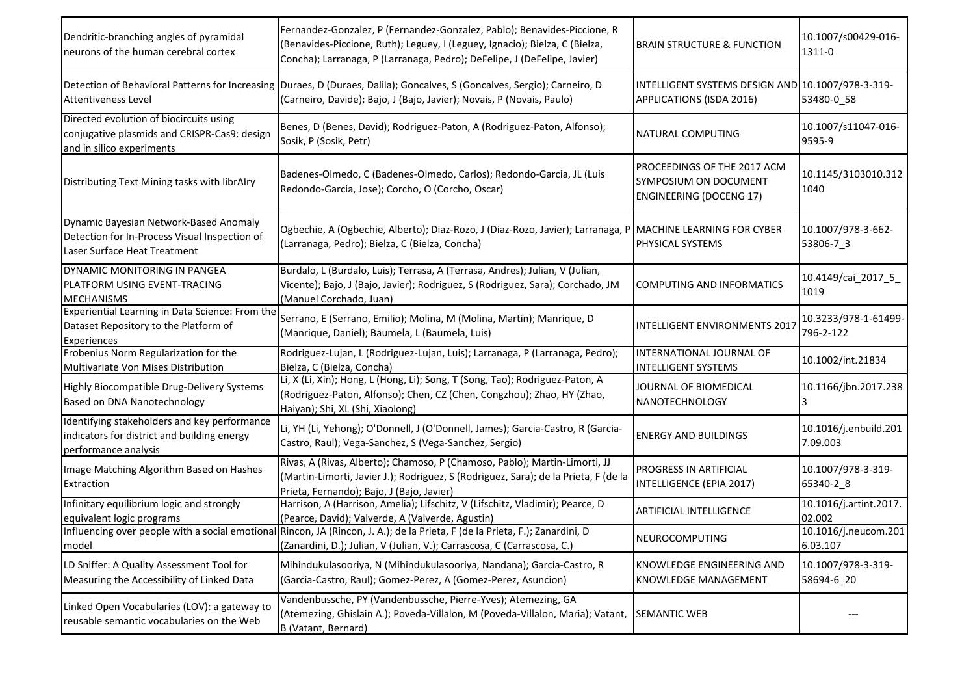| Dendritic-branching angles of pyramidal<br>neurons of the human cerebral cortex                                         | Fernandez-Gonzalez, P (Fernandez-Gonzalez, Pablo); Benavides-Piccione, R<br>(Benavides-Piccione, Ruth); Leguey, I (Leguey, Ignacio); Bielza, C (Bielza,<br>Concha); Larranaga, P (Larranaga, Pedro); DeFelipe, J (DeFelipe, Javier) | <b>BRAIN STRUCTURE &amp; FUNCTION</b>                                                  | 10.1007/s00429-016-<br>1311-0     |
|-------------------------------------------------------------------------------------------------------------------------|-------------------------------------------------------------------------------------------------------------------------------------------------------------------------------------------------------------------------------------|----------------------------------------------------------------------------------------|-----------------------------------|
| <b>Attentiveness Level</b>                                                                                              | Detection of Behavioral Patterns for Increasing  Duraes, D (Duraes, Dalila); Goncalves, S (Goncalves, Sergio); Carneiro, D<br>(Carneiro, Davide); Bajo, J (Bajo, Javier); Novais, P (Novais, Paulo)                                 | INTELLIGENT SYSTEMS DESIGN AND 10.1007/978-3-319-<br>APPLICATIONS (ISDA 2016)          | 53480-0 58                        |
| Directed evolution of biocircuits using<br>conjugative plasmids and CRISPR-Cas9: design<br>and in silico experiments    | Benes, D (Benes, David); Rodriguez-Paton, A (Rodriguez-Paton, Alfonso);<br>Sosik, P (Sosik, Petr)                                                                                                                                   | <b>NATURAL COMPUTING</b>                                                               | 10.1007/s11047-016-<br>9595-9     |
| Distributing Text Mining tasks with librAlry                                                                            | Badenes-Olmedo, C (Badenes-Olmedo, Carlos); Redondo-Garcia, JL (Luis<br>Redondo-Garcia, Jose); Corcho, O (Corcho, Oscar)                                                                                                            | PROCEEDINGS OF THE 2017 ACM<br>SYMPOSIUM ON DOCUMENT<br><b>ENGINEERING (DOCENG 17)</b> | 10.1145/3103010.312<br>1040       |
| Dynamic Bayesian Network-Based Anomaly<br>Detection for In-Process Visual Inspection of<br>Laser Surface Heat Treatment | Ogbechie, A (Ogbechie, Alberto); Diaz-Rozo, J (Diaz-Rozo, Javier); Larranaga, P<br>(Larranaga, Pedro); Bielza, C (Bielza, Concha)                                                                                                   | MACHINE LEARNING FOR CYBER<br>PHYSICAL SYSTEMS                                         | 10.1007/978-3-662-<br>53806-7_3   |
| DYNAMIC MONITORING IN PANGEA<br>PLATFORM USING EVENT-TRACING<br><b>MECHANISMS</b>                                       | Burdalo, L (Burdalo, Luis); Terrasa, A (Terrasa, Andres); Julian, V (Julian,<br>Vicente); Bajo, J (Bajo, Javier); Rodriguez, S (Rodriguez, Sara); Corchado, JM<br>(Manuel Corchado, Juan)                                           | <b>COMPUTING AND INFORMATICS</b>                                                       | 10.4149/cai 2017 5<br>1019        |
| Experiential Learning in Data Science: From the<br>Dataset Repository to the Platform of<br>Experiences                 | Serrano, E (Serrano, Emilio); Molina, M (Molina, Martin); Manrique, D<br>(Manrique, Daniel); Baumela, L (Baumela, Luis)                                                                                                             | <b>INTELLIGENT ENVIRONMENTS 2017</b>                                                   | 10.3233/978-1-61499-<br>796-2-122 |
| Frobenius Norm Regularization for the<br>Multivariate Von Mises Distribution                                            | Rodriguez-Lujan, L (Rodriguez-Lujan, Luis); Larranaga, P (Larranaga, Pedro);<br>Bielza, C (Bielza, Concha)                                                                                                                          | INTERNATIONAL JOURNAL OF<br><b>INTELLIGENT SYSTEMS</b>                                 | 10.1002/int.21834                 |
| Highly Biocompatible Drug-Delivery Systems<br>Based on DNA Nanotechnology                                               | Li, X (Li, Xin); Hong, L (Hong, Li); Song, T (Song, Tao); Rodriguez-Paton, A<br>(Rodriguez-Paton, Alfonso); Chen, CZ (Chen, Congzhou); Zhao, HY (Zhao,<br>Haiyan); Shi, XL (Shi, Xiaolong)                                          | JOURNAL OF BIOMEDICAL<br>NANOTECHNOLOGY                                                | 10.1166/jbn.2017.238              |
| Identifying stakeholders and key performance<br>indicators for district and building energy<br>performance analysis     | Li, YH (Li, Yehong); O'Donnell, J (O'Donnell, James); Garcia-Castro, R (Garcia-<br>Castro, Raul); Vega-Sanchez, S (Vega-Sanchez, Sergio)                                                                                            | <b>ENERGY AND BUILDINGS</b>                                                            | 10.1016/j.enbuild.201<br>7.09.003 |
| Image Matching Algorithm Based on Hashes<br>Extraction                                                                  | Rivas, A (Rivas, Alberto); Chamoso, P (Chamoso, Pablo); Martin-Limorti, JJ<br>(Martin-Limorti, Javier J.); Rodriguez, S (Rodriguez, Sara); de la Prieta, F (de la<br>Prieta, Fernando); Bajo, J (Bajo, Javier)                      | PROGRESS IN ARTIFICIAL<br>INTELLIGENCE (EPIA 2017)                                     | 10.1007/978-3-319-<br>65340-2_8   |
| Infinitary equilibrium logic and strongly<br>equivalent logic programs                                                  | Harrison, A (Harrison, Amelia); Lifschitz, V (Lifschitz, Vladimir); Pearce, D<br>(Pearce, David); Valverde, A (Valverde, Agustin)                                                                                                   | ARTIFICIAL INTELLIGENCE                                                                | 10.1016/j.artint.2017.<br>02.002  |
| model                                                                                                                   | Influencing over people with a social emotional Rincon, JA (Rincon, J. A.); de la Prieta, F (de la Prieta, F.); Zanardini, D<br>(Zanardini, D.); Julian, V (Julian, V.); Carrascosa, C (Carrascosa, C.)                             | NEUROCOMPUTING                                                                         | 10.1016/j.neucom.201<br>6.03.107  |
| LD Sniffer: A Quality Assessment Tool for<br>Measuring the Accessibility of Linked Data                                 | Mihindukulasooriya, N (Mihindukulasooriya, Nandana); Garcia-Castro, R<br>(Garcia-Castro, Raul); Gomez-Perez, A (Gomez-Perez, Asuncion)                                                                                              | KNOWLEDGE ENGINEERING AND<br><b>KNOWLEDGE MANAGEMENT</b>                               | 10.1007/978-3-319-<br>58694-6_20  |
| Linked Open Vocabularies (LOV): a gateway to<br>reusable semantic vocabularies on the Web                               | Vandenbussche, PY (Vandenbussche, Pierre-Yves); Atemezing, GA<br>(Atemezing, Ghislain A.); Poveda-Villalon, M (Poveda-Villalon, Maria); Vatant,<br>B (Vatant, Bernard)                                                              | <b>SEMANTIC WEB</b>                                                                    |                                   |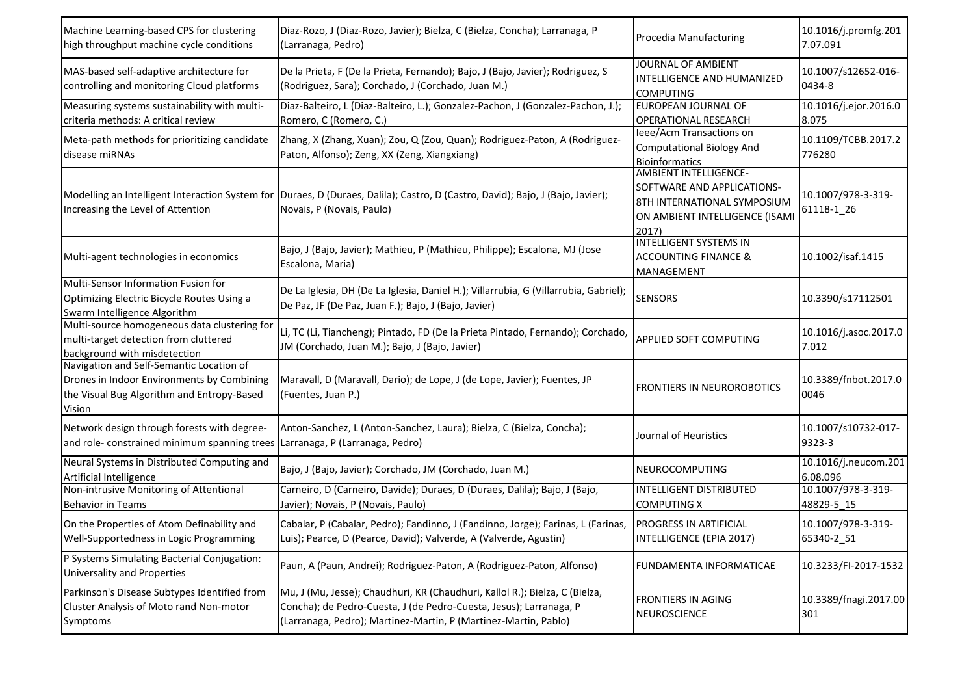| Machine Learning-based CPS for clustering<br>high throughput machine cycle conditions                                                          | Diaz-Rozo, J (Diaz-Rozo, Javier); Bielza, C (Bielza, Concha); Larranaga, P<br>(Larranaga, Pedro)                                                                                                                     | Procedia Manufacturing                                                                                                               | 10.1016/j.promfg.201<br>7.07.091 |
|------------------------------------------------------------------------------------------------------------------------------------------------|----------------------------------------------------------------------------------------------------------------------------------------------------------------------------------------------------------------------|--------------------------------------------------------------------------------------------------------------------------------------|----------------------------------|
| MAS-based self-adaptive architecture for<br>controlling and monitoring Cloud platforms                                                         | De la Prieta, F (De la Prieta, Fernando); Bajo, J (Bajo, Javier); Rodriguez, S<br>(Rodriguez, Sara); Corchado, J (Corchado, Juan M.)                                                                                 | <b>JOURNAL OF AMBIENT</b><br>INTELLIGENCE AND HUMANIZED<br><b>COMPUTING</b>                                                          | 10.1007/s12652-016-<br>0434-8    |
| Measuring systems sustainability with multi-<br>criteria methods: A critical review                                                            | Diaz-Balteiro, L (Diaz-Balteiro, L.); Gonzalez-Pachon, J (Gonzalez-Pachon, J.);<br>Romero, C (Romero, C.)                                                                                                            | EUROPEAN JOURNAL OF<br>OPERATIONAL RESEARCH                                                                                          | 10.1016/j.ejor.2016.0<br>8.075   |
| Meta-path methods for prioritizing candidate<br>disease miRNAs                                                                                 | Zhang, X (Zhang, Xuan); Zou, Q (Zou, Quan); Rodriguez-Paton, A (Rodriguez-<br>Paton, Alfonso); Zeng, XX (Zeng, Xiangxiang)                                                                                           | leee/Acm Transactions on<br><b>Computational Biology And</b><br><b>Bioinformatics</b>                                                | 10.1109/TCBB.2017.2<br>776280    |
| Increasing the Level of Attention                                                                                                              | Modelling an Intelligent Interaction System for  Duraes, D (Duraes, Dalila); Castro, D (Castro, David); Bajo, J (Bajo, Javier);<br>Novais, P (Novais, Paulo)                                                         | <b>AMBIENT INTELLIGENCE-</b><br>SOFTWARE AND APPLICATIONS-<br>8TH INTERNATIONAL SYMPOSIUM<br>ON AMBIENT INTELLIGENCE (ISAMI<br>2017) | 10.1007/978-3-319-<br>61118-1_26 |
| Multi-agent technologies in economics                                                                                                          | Bajo, J (Bajo, Javier); Mathieu, P (Mathieu, Philippe); Escalona, MJ (Jose<br>Escalona, Maria)                                                                                                                       | <b>INTELLIGENT SYSTEMS IN</b><br><b>ACCOUNTING FINANCE &amp;</b><br>MANAGEMENT                                                       | 10.1002/isaf.1415                |
| Multi-Sensor Information Fusion for<br>Optimizing Electric Bicycle Routes Using a<br>Swarm Intelligence Algorithm                              | De La Iglesia, DH (De La Iglesia, Daniel H.); Villarrubia, G (Villarrubia, Gabriel);<br>De Paz, JF (De Paz, Juan F.); Bajo, J (Bajo, Javier)                                                                         | <b>SENSORS</b>                                                                                                                       | 10.3390/s17112501                |
| Multi-source homogeneous data clustering for<br>multi-target detection from cluttered<br>background with misdetection                          | Li, TC (Li, Tiancheng); Pintado, FD (De la Prieta Pintado, Fernando); Corchado,<br>JM (Corchado, Juan M.); Bajo, J (Bajo, Javier)                                                                                    | APPLIED SOFT COMPUTING                                                                                                               | 10.1016/j.asoc.2017.0<br>7.012   |
| Navigation and Self-Semantic Location of<br>Drones in Indoor Environments by Combining<br>the Visual Bug Algorithm and Entropy-Based<br>Vision | Maravall, D (Maravall, Dario); de Lope, J (de Lope, Javier); Fuentes, JP<br>(Fuentes, Juan P.)                                                                                                                       | <b>FRONTIERS IN NEUROROBOTICS</b>                                                                                                    | 10.3389/fnbot.2017.0<br>0046     |
| Network design through forests with degree-<br>and role-constrained minimum spanning trees                                                     | Anton-Sanchez, L (Anton-Sanchez, Laura); Bielza, C (Bielza, Concha);<br>Larranaga, P (Larranaga, Pedro)                                                                                                              | Journal of Heuristics                                                                                                                | 10.1007/s10732-017-<br>9323-3    |
| Neural Systems in Distributed Computing and<br>Artificial Intelligence                                                                         | Bajo, J (Bajo, Javier); Corchado, JM (Corchado, Juan M.)                                                                                                                                                             | NEUROCOMPUTING                                                                                                                       | 10.1016/j.neucom.201<br>6.08.096 |
| Non-intrusive Monitoring of Attentional<br><b>Behavior in Teams</b>                                                                            | Carneiro, D (Carneiro, Davide); Duraes, D (Duraes, Dalila); Bajo, J (Bajo,<br>Javier); Novais, P (Novais, Paulo)                                                                                                     | INTELLIGENT DISTRIBUTED<br><b>COMPUTING X</b>                                                                                        | 10.1007/978-3-319-<br>48829-5 15 |
| On the Properties of Atom Definability and<br>Well-Supportedness in Logic Programming                                                          | Cabalar, P (Cabalar, Pedro); Fandinno, J (Fandinno, Jorge); Farinas, L (Farinas,<br>Luis); Pearce, D (Pearce, David); Valverde, A (Valverde, Agustin)                                                                | <b>PROGRESS IN ARTIFICIAL</b><br>INTELLIGENCE (EPIA 2017)                                                                            | 10.1007/978-3-319-<br>65340-2_51 |
| P Systems Simulating Bacterial Conjugation:<br><b>Universality and Properties</b>                                                              | Paun, A (Paun, Andrei); Rodriguez-Paton, A (Rodriguez-Paton, Alfonso)                                                                                                                                                | FUNDAMENTA INFORMATICAE                                                                                                              | 10.3233/FI-2017-1532             |
| Parkinson's Disease Subtypes Identified from<br>Cluster Analysis of Moto rand Non-motor<br>Symptoms                                            | Mu, J (Mu, Jesse); Chaudhuri, KR (Chaudhuri, Kallol R.); Bielza, C (Bielza,<br>Concha); de Pedro-Cuesta, J (de Pedro-Cuesta, Jesus); Larranaga, P<br>(Larranaga, Pedro); Martinez-Martin, P (Martinez-Martin, Pablo) | <b>FRONTIERS IN AGING</b><br><b>NEUROSCIENCE</b>                                                                                     | 10.3389/fnagi.2017.00<br>301     |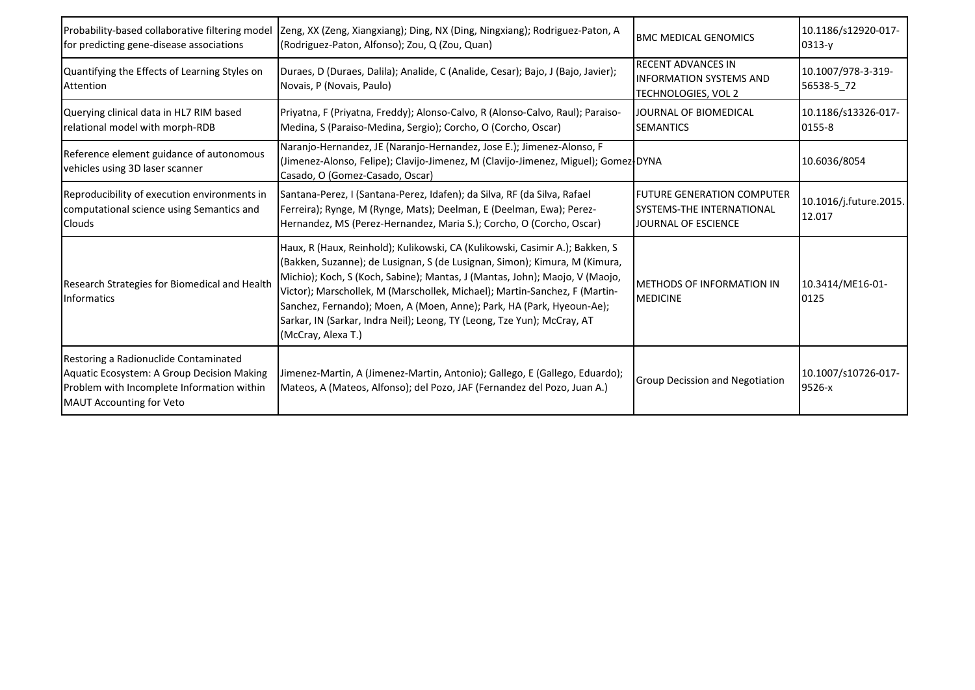| Probability-based collaborative filtering model<br>for predicting gene-disease associations                                                                          | Zeng, XX (Zeng, Xiangxiang); Ding, NX (Ding, Ningxiang); Rodriguez-Paton, A<br>(Rodriguez-Paton, Alfonso); Zou, Q (Zou, Quan)                                                                                                                                                                                                                                                                                                                                                                     | <b>BMC MEDICAL GENOMICS</b>                                                           | 10.1186/s12920-017-<br>0313-y    |
|----------------------------------------------------------------------------------------------------------------------------------------------------------------------|---------------------------------------------------------------------------------------------------------------------------------------------------------------------------------------------------------------------------------------------------------------------------------------------------------------------------------------------------------------------------------------------------------------------------------------------------------------------------------------------------|---------------------------------------------------------------------------------------|----------------------------------|
| Quantifying the Effects of Learning Styles on<br>Attention                                                                                                           | Duraes, D (Duraes, Dalila); Analide, C (Analide, Cesar); Bajo, J (Bajo, Javier);<br>Novais, P (Novais, Paulo)                                                                                                                                                                                                                                                                                                                                                                                     | <b>RECENT ADVANCES IN</b><br><b>INFORMATION SYSTEMS AND</b><br>TECHNOLOGIES, VOL 2    | 10.1007/978-3-319-<br>56538-5 72 |
| Querying clinical data in HL7 RIM based<br>relational model with morph-RDB                                                                                           | Priyatna, F (Priyatna, Freddy); Alonso-Calvo, R (Alonso-Calvo, Raul); Paraiso-<br>Medina, S (Paraiso-Medina, Sergio); Corcho, O (Corcho, Oscar)                                                                                                                                                                                                                                                                                                                                                   | JOURNAL OF BIOMEDICAL<br><b>SEMANTICS</b>                                             | 10.1186/s13326-017-<br>0155-8    |
| Reference element guidance of autonomous<br>vehicles using 3D laser scanner                                                                                          | Naranjo-Hernandez, JE (Naranjo-Hernandez, Jose E.); Jimenez-Alonso, F<br>(Jimenez-Alonso, Felipe); Clavijo-Jimenez, M (Clavijo-Jimenez, Miguel); Gomez-DYNA<br>Casado, O (Gomez-Casado, Oscar)                                                                                                                                                                                                                                                                                                    |                                                                                       | 10.6036/8054                     |
| Reproducibility of execution environments in<br>computational science using Semantics and<br>Clouds                                                                  | Santana-Perez, I (Santana-Perez, Idafen); da Silva, RF (da Silva, Rafael<br>Ferreira); Rynge, M (Rynge, Mats); Deelman, E (Deelman, Ewa); Perez-<br>Hernandez, MS (Perez-Hernandez, Maria S.); Corcho, O (Corcho, Oscar)                                                                                                                                                                                                                                                                          | <b>FUTURE GENERATION COMPUTER</b><br>SYSTEMS-THE INTERNATIONAL<br>JOURNAL OF ESCIENCE | 10.1016/j.future.2015.<br>12.017 |
| Research Strategies for Biomedical and Health<br>Informatics                                                                                                         | Haux, R (Haux, Reinhold); Kulikowski, CA (Kulikowski, Casimir A.); Bakken, S<br>(Bakken, Suzanne); de Lusignan, S (de Lusignan, Simon); Kimura, M (Kimura,<br>Michio); Koch, S (Koch, Sabine); Mantas, J (Mantas, John); Maojo, V (Maojo,<br>Victor); Marschollek, M (Marschollek, Michael); Martin-Sanchez, F (Martin-<br>Sanchez, Fernando); Moen, A (Moen, Anne); Park, HA (Park, Hyeoun-Ae);<br>Sarkar, IN (Sarkar, Indra Neil); Leong, TY (Leong, Tze Yun); McCray, AT<br>(McCray, Alexa T.) | <b>METHODS OF INFORMATION IN</b><br><b>MEDICINE</b>                                   | 10.3414/ME16-01-<br>0125         |
| Restoring a Radionuclide Contaminated<br>Aquatic Ecosystem: A Group Decision Making<br>Problem with Incomplete Information within<br><b>MAUT Accounting for Veto</b> | Jimenez-Martin, A (Jimenez-Martin, Antonio); Gallego, E (Gallego, Eduardo);<br>Mateos, A (Mateos, Alfonso); del Pozo, JAF (Fernandez del Pozo, Juan A.)                                                                                                                                                                                                                                                                                                                                           | Group Decission and Negotiation                                                       | 10.1007/s10726-017-<br>9526-x    |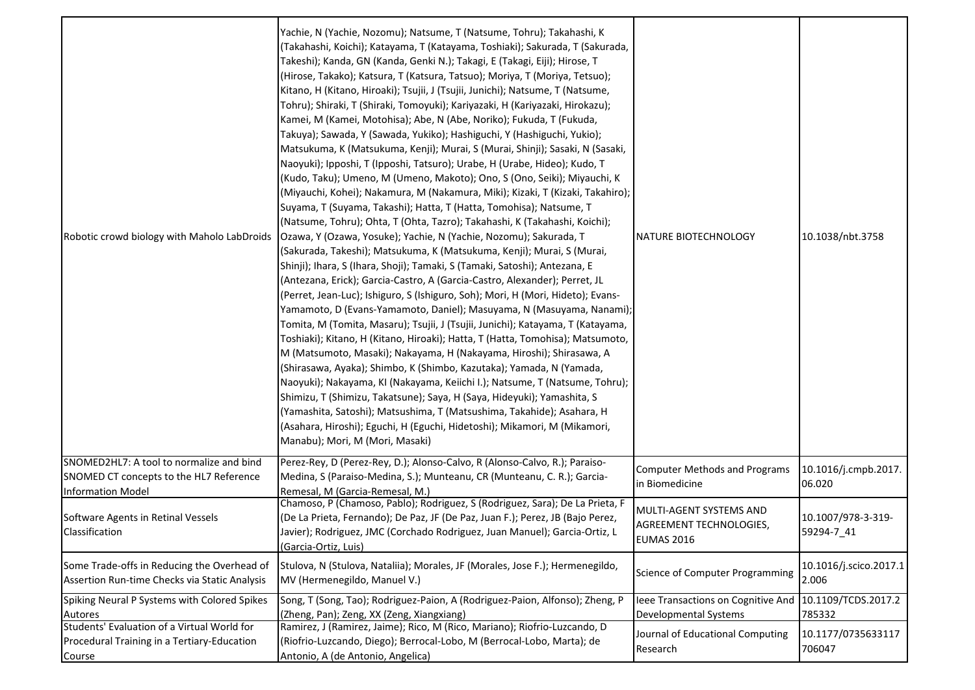| Robotic crowd biology with Maholo LabDroids                                                                     | Yachie, N (Yachie, Nozomu); Natsume, T (Natsume, Tohru); Takahashi, K<br>(Takahashi, Koichi); Katayama, T (Katayama, Toshiaki); Sakurada, T (Sakurada,<br>Takeshi); Kanda, GN (Kanda, Genki N.); Takagi, E (Takagi, Eiji); Hirose, T<br>(Hirose, Takako); Katsura, T (Katsura, Tatsuo); Moriya, T (Moriya, Tetsuo);<br>Kitano, H (Kitano, Hiroaki); Tsujii, J (Tsujii, Junichi); Natsume, T (Natsume,<br>Tohru); Shiraki, T (Shiraki, Tomoyuki); Kariyazaki, H (Kariyazaki, Hirokazu);<br>Kamei, M (Kamei, Motohisa); Abe, N (Abe, Noriko); Fukuda, T (Fukuda,<br>Takuya); Sawada, Y (Sawada, Yukiko); Hashiguchi, Y (Hashiguchi, Yukio);<br>Matsukuma, K (Matsukuma, Kenji); Murai, S (Murai, Shinji); Sasaki, N (Sasaki,<br>Naoyuki); Ipposhi, T (Ipposhi, Tatsuro); Urabe, H (Urabe, Hideo); Kudo, T<br>(Kudo, Taku); Umeno, M (Umeno, Makoto); Ono, S (Ono, Seiki); Miyauchi, K<br>(Miyauchi, Kohei); Nakamura, M (Nakamura, Miki); Kizaki, T (Kizaki, Takahiro);<br>Suyama, T (Suyama, Takashi); Hatta, T (Hatta, Tomohisa); Natsume, T<br>(Natsume, Tohru); Ohta, T (Ohta, Tazro); Takahashi, K (Takahashi, Koichi);<br>Ozawa, Y (Ozawa, Yosuke); Yachie, N (Yachie, Nozomu); Sakurada, T<br>(Sakurada, Takeshi); Matsukuma, K (Matsukuma, Kenji); Murai, S (Murai,<br>Shinji); Ihara, S (Ihara, Shoji); Tamaki, S (Tamaki, Satoshi); Antezana, E<br>(Antezana, Erick); Garcia-Castro, A (Garcia-Castro, Alexander); Perret, JL<br>(Perret, Jean-Luc); Ishiguro, S (Ishiguro, Soh); Mori, H (Mori, Hideto); Evans-<br>Yamamoto, D (Evans-Yamamoto, Daniel); Masuyama, N (Masuyama, Nanami);<br>Tomita, M (Tomita, Masaru); Tsujii, J (Tsujii, Junichi); Katayama, T (Katayama,<br>Toshiaki); Kitano, H (Kitano, Hiroaki); Hatta, T (Hatta, Tomohisa); Matsumoto,<br>M (Matsumoto, Masaki); Nakayama, H (Nakayama, Hiroshi); Shirasawa, A<br>(Shirasawa, Ayaka); Shimbo, K (Shimbo, Kazutaka); Yamada, N (Yamada,<br>Naoyuki); Nakayama, KI (Nakayama, Keiichi I.); Natsume, T (Natsume, Tohru);<br>Shimizu, T (Shimizu, Takatsune); Saya, H (Saya, Hideyuki); Yamashita, S<br>(Yamashita, Satoshi); Matsushima, T (Matsushima, Takahide); Asahara, H<br>(Asahara, Hiroshi); Eguchi, H (Eguchi, Hidetoshi); Mikamori, M (Mikamori,<br>Manabu); Mori, M (Mori, Masaki) | <b>NATURE BIOTECHNOLOGY</b>                                                     | 10.1038/nbt.3758                 |
|-----------------------------------------------------------------------------------------------------------------|----------------------------------------------------------------------------------------------------------------------------------------------------------------------------------------------------------------------------------------------------------------------------------------------------------------------------------------------------------------------------------------------------------------------------------------------------------------------------------------------------------------------------------------------------------------------------------------------------------------------------------------------------------------------------------------------------------------------------------------------------------------------------------------------------------------------------------------------------------------------------------------------------------------------------------------------------------------------------------------------------------------------------------------------------------------------------------------------------------------------------------------------------------------------------------------------------------------------------------------------------------------------------------------------------------------------------------------------------------------------------------------------------------------------------------------------------------------------------------------------------------------------------------------------------------------------------------------------------------------------------------------------------------------------------------------------------------------------------------------------------------------------------------------------------------------------------------------------------------------------------------------------------------------------------------------------------------------------------------------------------------------------------------------------------------------------------------------------------------------------------------------------------------------------------------------------------------------------------------------------------------------------------|---------------------------------------------------------------------------------|----------------------------------|
| SNOMED2HL7: A tool to normalize and bind<br>SNOMED CT concepts to the HL7 Reference<br><b>Information Model</b> | Perez-Rey, D (Perez-Rey, D.); Alonso-Calvo, R (Alonso-Calvo, R.); Paraiso-<br>Medina, S (Paraiso-Medina, S.); Munteanu, CR (Munteanu, C. R.); Garcia-<br>Remesal, M (Garcia-Remesal, M.)                                                                                                                                                                                                                                                                                                                                                                                                                                                                                                                                                                                                                                                                                                                                                                                                                                                                                                                                                                                                                                                                                                                                                                                                                                                                                                                                                                                                                                                                                                                                                                                                                                                                                                                                                                                                                                                                                                                                                                                                                                                                                   | <b>Computer Methods and Programs</b><br>in Biomedicine                          | 10.1016/j.cmpb.2017.<br>06.020   |
| Software Agents in Retinal Vessels<br>Classification                                                            | Chamoso, P (Chamoso, Pablo); Rodriguez, S (Rodriguez, Sara); De La Prieta, F<br>(De La Prieta, Fernando); De Paz, JF (De Paz, Juan F.); Perez, JB (Bajo Perez,<br>Javier); Rodriguez, JMC (Corchado Rodriguez, Juan Manuel); Garcia-Ortiz, L<br>(Garcia-Ortiz, Luis)                                                                                                                                                                                                                                                                                                                                                                                                                                                                                                                                                                                                                                                                                                                                                                                                                                                                                                                                                                                                                                                                                                                                                                                                                                                                                                                                                                                                                                                                                                                                                                                                                                                                                                                                                                                                                                                                                                                                                                                                       | MULTI-AGENT SYSTEMS AND<br>AGREEMENT TECHNOLOGIES.<br><b>EUMAS 2016</b>         | 10.1007/978-3-319-<br>59294-7 41 |
| Some Trade-offs in Reducing the Overhead of<br>Assertion Run-time Checks via Static Analysis                    | Stulova, N (Stulova, Nataliia); Morales, JF (Morales, Jose F.); Hermenegildo,<br>MV (Hermenegildo, Manuel V.)                                                                                                                                                                                                                                                                                                                                                                                                                                                                                                                                                                                                                                                                                                                                                                                                                                                                                                                                                                                                                                                                                                                                                                                                                                                                                                                                                                                                                                                                                                                                                                                                                                                                                                                                                                                                                                                                                                                                                                                                                                                                                                                                                              | <b>Science of Computer Programming</b>                                          | 10.1016/j.scico.2017.1<br>2.006  |
| Spiking Neural P Systems with Colored Spikes<br>Autores                                                         | Song, T (Song, Tao); Rodriguez-Paion, A (Rodriguez-Paion, Alfonso); Zheng, P<br>(Zheng, Pan); Zeng, XX (Zeng, Xiangxiang)                                                                                                                                                                                                                                                                                                                                                                                                                                                                                                                                                                                                                                                                                                                                                                                                                                                                                                                                                                                                                                                                                                                                                                                                                                                                                                                                                                                                                                                                                                                                                                                                                                                                                                                                                                                                                                                                                                                                                                                                                                                                                                                                                  | leee Transactions on Cognitive And 10.1109/TCDS.2017.2<br>Developmental Systems | 785332                           |
| Students' Evaluation of a Virtual World for<br>Procedural Training in a Tertiary-Education<br>Course            | Ramirez, J (Ramirez, Jaime); Rico, M (Rico, Mariano); Riofrio-Luzcando, D<br>(Riofrio-Luzcando, Diego); Berrocal-Lobo, M (Berrocal-Lobo, Marta); de<br>Antonio, A (de Antonio, Angelica)                                                                                                                                                                                                                                                                                                                                                                                                                                                                                                                                                                                                                                                                                                                                                                                                                                                                                                                                                                                                                                                                                                                                                                                                                                                                                                                                                                                                                                                                                                                                                                                                                                                                                                                                                                                                                                                                                                                                                                                                                                                                                   | Journal of Educational Computing<br>Research                                    | 10.1177/0735633117<br>706047     |